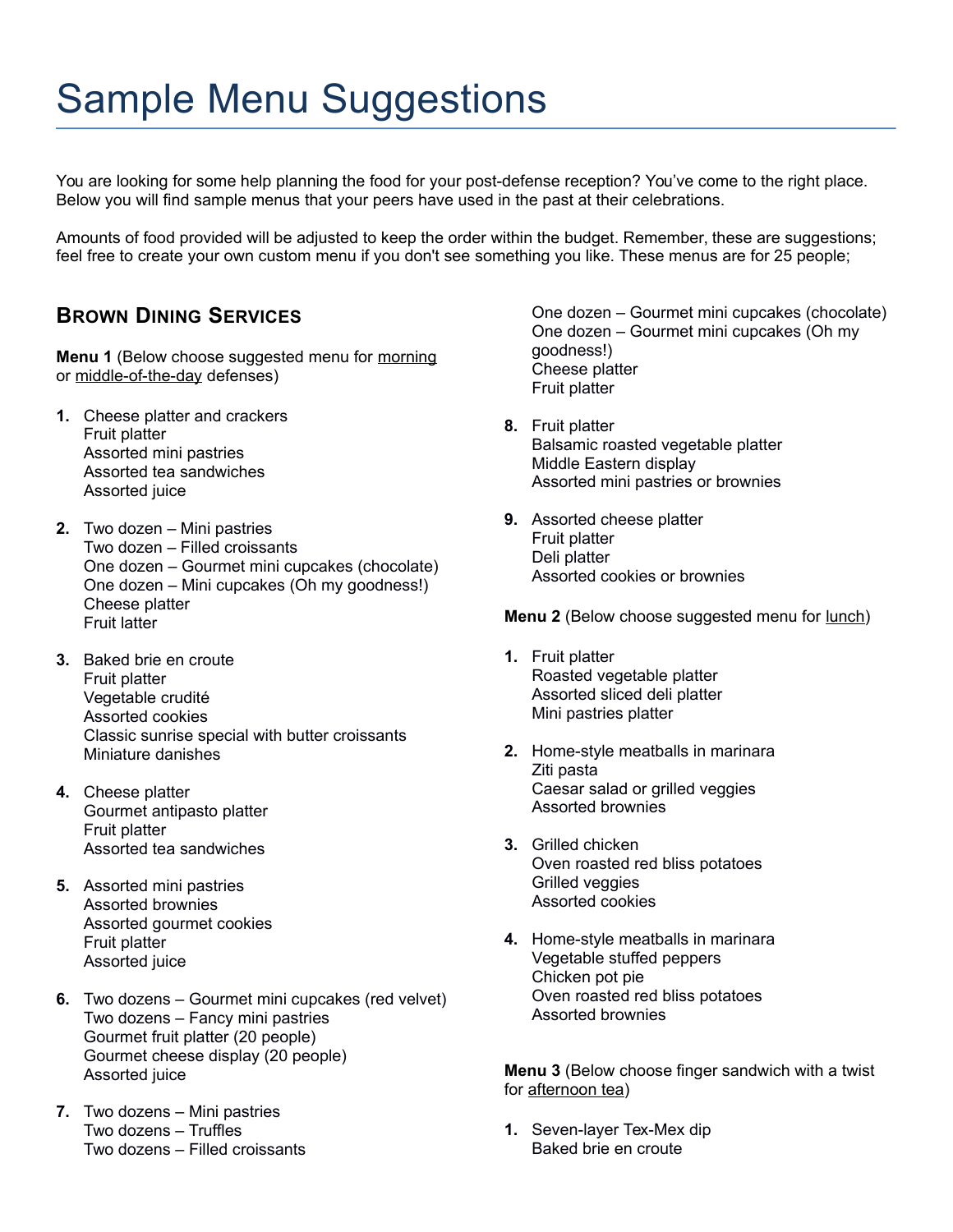# Sample Menu Suggestions

You are looking for some help planning the food for your post-defense reception? You've come to the right place. Below you will find sample menus that your peers have used in the past at their celebrations.

Amounts of food provided will be adjusted to keep the order within the budget. Remember, these are suggestions; feel free to create your own custom menu if you don't see something you like. These menus are for 25 people;

#### **BROWN DINING SERVICES**

**Menu 1** (Below choose suggested menu for morning or middle-of-the-day defenses)

- **1.** Cheese platter and crackers Fruit platter Assorted mini pastries Assorted tea sandwiches Assorted juice
- **2.** Two dozen Mini pastries Two dozen – Filled croissants One dozen – Gourmet mini cupcakes (chocolate) One dozen – Mini cupcakes (Oh my goodness!) Cheese platter Fruit latter
- **3.** Baked brie en croute Fruit platter Vegetable crudité Assorted cookies Classic sunrise special with butter croissants Miniature danishes
- **4.** Cheese platter Gourmet antipasto platter Fruit platter Assorted tea sandwiches
- **5.** Assorted mini pastries Assorted brownies Assorted gourmet cookies Fruit platter Assorted juice
- **6.** Two dozens Gourmet mini cupcakes (red velvet) Two dozens – Fancy mini pastries Gourmet fruit platter (20 people) Gourmet cheese display (20 people) Assorted juice
- **7.** Two dozens Mini pastries Two dozens – Truffles Two dozens – Filled croissants

One dozen – Gourmet mini cupcakes (chocolate) One dozen – Gourmet mini cupcakes (Oh my goodness!) Cheese platter Fruit platter

- **8.** Fruit platter Balsamic roasted vegetable platter Middle Eastern display Assorted mini pastries or brownies
- **9.** Assorted cheese platter Fruit platter Deli platter Assorted cookies or brownies

**Menu 2** (Below choose suggested menu for lunch)

- **1.** Fruit platter Roasted vegetable platter Assorted sliced deli platter Mini pastries platter
- **2.** Home-style meatballs in marinara Ziti pasta Caesar salad or grilled veggies Assorted brownies
- **3.** Grilled chicken Oven roasted red bliss potatoes Grilled veggies Assorted cookies
- **4.** Home-style meatballs in marinara Vegetable stuffed peppers Chicken pot pie Oven roasted red bliss potatoes Assorted brownies

**Menu 3** (Below choose finger sandwich with a twist for afternoon tea)

**1.** Seven-layer Tex-Mex dip Baked brie en croute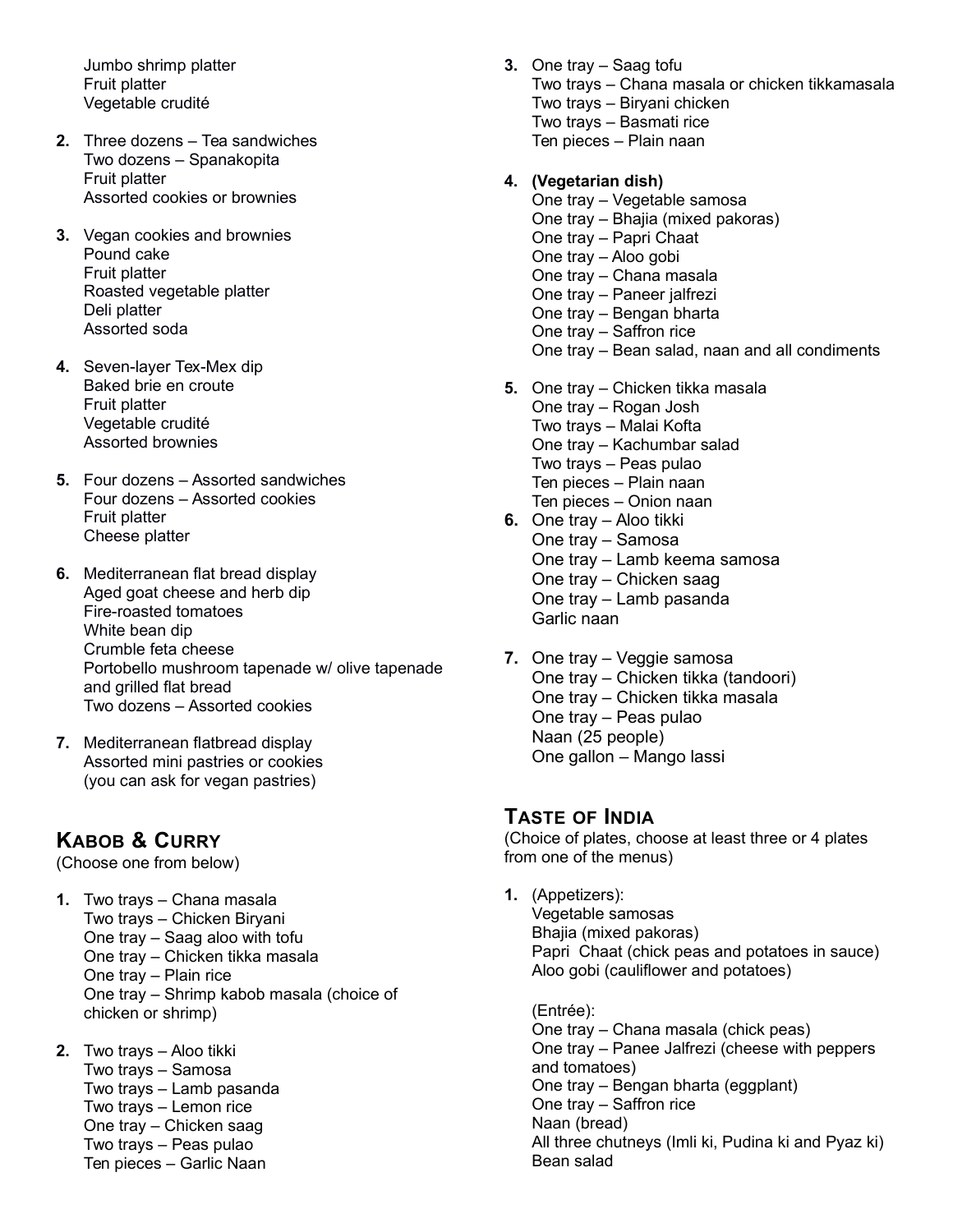Jumbo shrimp platter Fruit platter Vegetable crudité

- **2.** Three dozens Tea sandwiches Two dozens – Spanakopita Fruit platter Assorted cookies or brownies
- **3.** Vegan cookies and brownies Pound cake Fruit platter Roasted vegetable platter Deli platter Assorted soda
- **4.** Seven-layer Tex-Mex dip Baked brie en croute Fruit platter Vegetable crudité Assorted brownies
- **5.** Four dozens Assorted sandwiches Four dozens – Assorted cookies Fruit platter Cheese platter
- **6.** Mediterranean flat bread display Aged goat cheese and herb dip Fire-roasted tomatoes White bean dip Crumble feta cheese Portobello mushroom tapenade w/ olive tapenade and grilled flat bread Two dozens – Assorted cookies
- **7.** Mediterranean flatbread display Assorted mini pastries or cookies (you can ask for vegan pastries)

# **KABOB & CURRY**

(Choose one from below)

- **1.** Two trays Chana masala Two trays – Chicken Biryani One tray – Saag aloo with tofu One tray – Chicken tikka masala One tray – Plain rice One tray – Shrimp kabob masala (choice of chicken or shrimp)
- **2.** Two trays Aloo tikki Two trays – Samosa Two trays – Lamb pasanda Two trays – Lemon rice One tray – Chicken saag Two trays – Peas pulao Ten pieces – Garlic Naan

**3.** One tray – Saag tofu Two trays – Chana masala or chicken tikkamasala Two trays – Biryani chicken Two trays – Basmati rice Ten pieces – Plain naan

#### **4. (Vegetarian dish)**

- One tray Vegetable samosa One tray – Bhajia (mixed pakoras) One tray – Papri Chaat One tray – Aloo gobi One tray – Chana masala One tray – Paneer jalfrezi One tray – Bengan bharta One tray – Saffron rice One tray – Bean salad, naan and all condiments
- **5.** One tray Chicken tikka masala One tray – Rogan Josh Two trays – Malai Kofta One tray – Kachumbar salad Two trays – Peas pulao Ten pieces – Plain naan Ten pieces – Onion naan **6.** One tray – Aloo tikki
- One tray Samosa One tray – Lamb keema samosa One tray – Chicken saag One tray – Lamb pasanda Garlic naan
- **7.** One tray Veggie samosa One tray – Chicken tikka (tandoori) One tray – Chicken tikka masala One tray – Peas pulao Naan (25 people) One gallon – Mango lassi

#### **TASTE OF INDIA**

(Choice of plates, choose at least three or 4 plates from one of the menus)

**1.** (Appetizers): Vegetable samosas Bhajia (mixed pakoras) Papri Chaat (chick peas and potatoes in sauce) Aloo gobi (cauliflower and potatoes)

(Entrée): One tray – Chana masala (chick peas) One tray – Panee Jalfrezi (cheese with peppers and tomatoes) One tray – Bengan bharta (eggplant) One tray – Saffron rice Naan (bread) All three chutneys (Imli ki, Pudina ki and Pyaz ki) Bean salad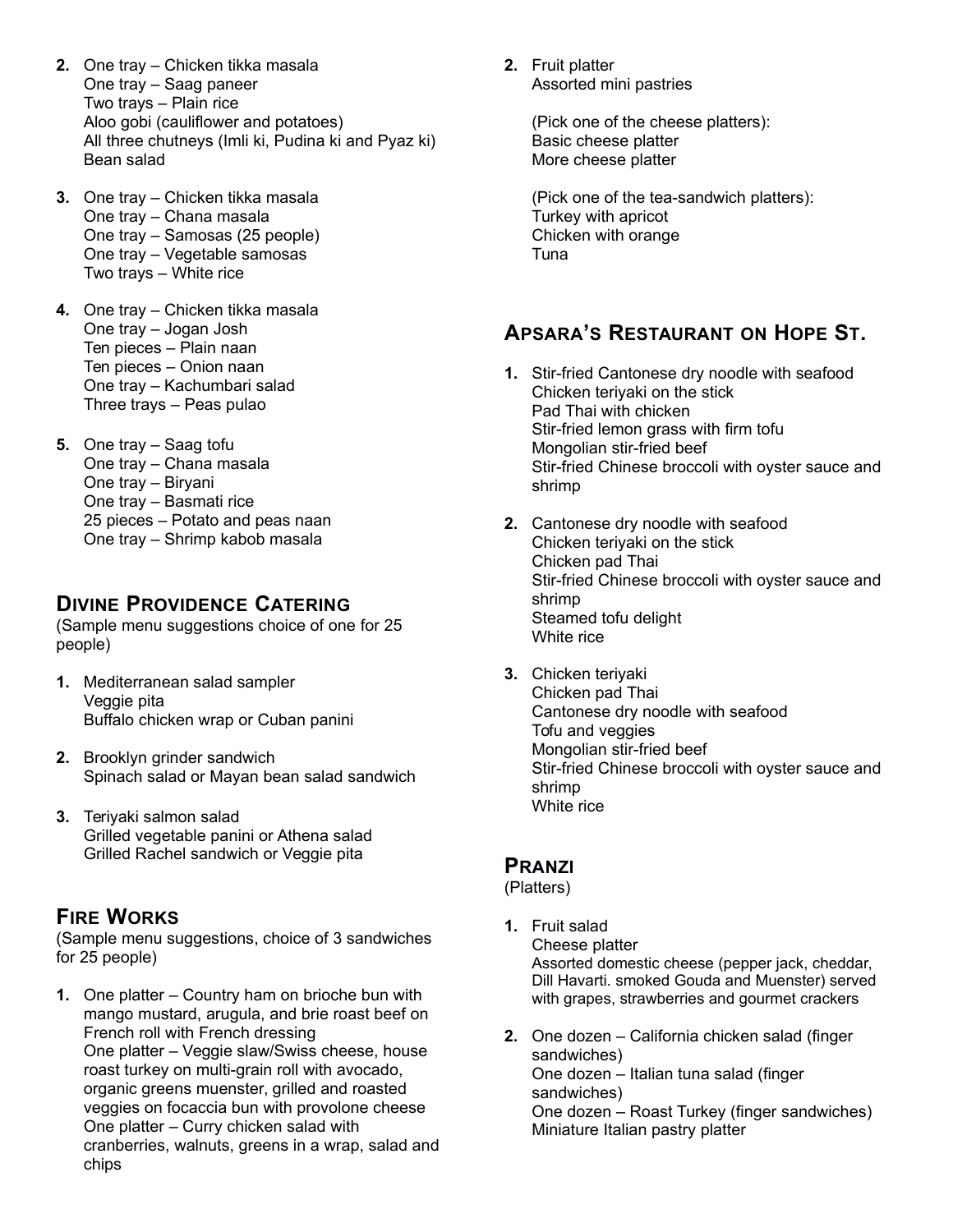- **2.** One tray Chicken tikka masala One tray – Saag paneer Two trays – Plain rice Aloo gobi (cauliflower and potatoes) All three chutneys (Imli ki, Pudina ki and Pyaz ki) Bean salad
- **3.** One tray Chicken tikka masala One tray – Chana masala One tray – Samosas (25 people) One tray – Vegetable samosas Two trays – White rice
- **4.** One tray Chicken tikka masala One tray – Jogan Josh Ten pieces – Plain naan Ten pieces – Onion naan One tray – Kachumbari salad Three trays – Peas pulao
- **5.** One tray Saag tofu One tray – Chana masala One tray – Biryani One tray – Basmati rice 25 pieces – Potato and peas naan One tray – Shrimp kabob masala

#### **DIVINE PROVIDENCE CATERING**

(Sample menu suggestions choice of one for 25 people)

- **1.** Mediterranean salad sampler Veggie pita Buffalo chicken wrap or Cuban panini
- **2.** Brooklyn grinder sandwich Spinach salad or Mayan bean salad sandwich
- **3.** Teriyaki salmon salad Grilled vegetable panini or Athena salad Grilled Rachel sandwich or Veggie pita

# **FIRE WORKS**

(Sample menu suggestions, choice of 3 sandwiches for 25 people)

**1.** One platter – Country ham on brioche bun with mango mustard, arugula, and brie roast beef on French roll with French dressing One platter – Veggie slaw/Swiss cheese, house roast turkey on multi-grain roll with avocado, organic greens muenster, grilled and roasted veggies on focaccia bun with provolone cheese One platter – Curry chicken salad with cranberries, walnuts, greens in a wrap, salad and chips

**2.** Fruit platter Assorted mini pastries

> (Pick one of the cheese platters): Basic cheese platter More cheese platter

(Pick one of the tea-sandwich platters): Turkey with apricot Chicken with orange Tuna

# **APSARA'S RESTAURANT ON HOPE ST.**

- **1.** Stir-fried Cantonese dry noodle with seafood Chicken teriyaki on the stick Pad Thai with chicken Stir-fried lemon grass with firm tofu Mongolian stir-fried beef Stir-fried Chinese broccoli with oyster sauce and shrimp
- **2.** Cantonese dry noodle with seafood Chicken teriyaki on the stick Chicken pad Thai Stir-fried Chinese broccoli with oyster sauce and shrimp Steamed tofu delight White rice
- **3.** Chicken teriyaki Chicken pad Thai Cantonese dry noodle with seafood Tofu and veggies Mongolian stir-fried beef Stir-fried Chinese broccoli with oyster sauce and shrimp White rice

#### **PRANZI**

(Platters)

- **1.** Fruit salad Cheese platter Assorted domestic cheese (pepper jack, cheddar, Dill Havarti. smoked Gouda and Muenster) served with grapes, strawberries and gourmet crackers
- **2.** One dozen California chicken salad (finger sandwiches) One dozen – Italian tuna salad (finger sandwiches) One dozen – Roast Turkey (finger sandwiches) Miniature Italian pastry platter